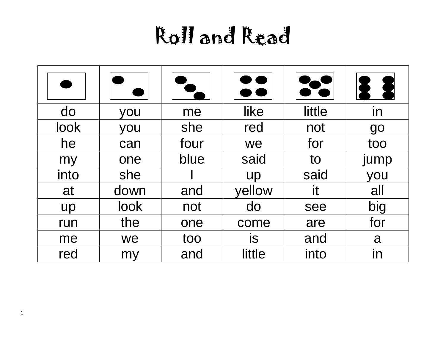| do        | you  | me   | like      | little | in   |
|-----------|------|------|-----------|--------|------|
| look      | you  | she  | red       | not    | go   |
| he        | can  | four | we        | for    | too  |
| my        | one  | blue | said      | to     | jump |
| into      | she  |      | <b>up</b> | said   | you  |
| at        | down | and  | yellow    | it     | all  |
| <b>up</b> | look | not  | do        | see    | big  |
| run       | the  | one  | come      | are    | for  |
| me        | we   | too  | <b>is</b> | and    | a    |
| red       | my   | and  | little    | into   | in   |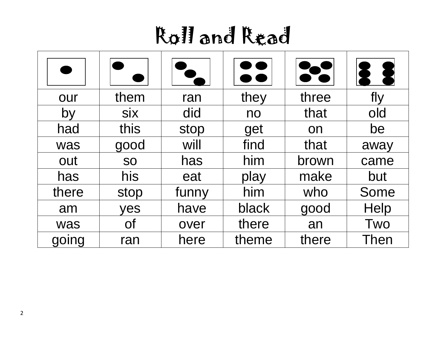|       |            |       | <b></b> |       |      |
|-------|------------|-------|---------|-------|------|
| our   | them       | ran   | they    | three | fly  |
| by    | <b>Six</b> | did   | no      | that  | old  |
| had   | this       | stop  | get     | on    | be   |
| was   | good       | will  | find    | that  | away |
| out   | <b>SO</b>  | has   | him     | brown | came |
| has   | his        | eat   | play    | make  | but  |
| there | stop       | funny | him     | who   | Some |
| am    | yes        | have  | black   | good  | Help |
| was   | <b>Of</b>  | over  | there   | an    | Two  |
| going | ran        | here  | theme   | there | Then |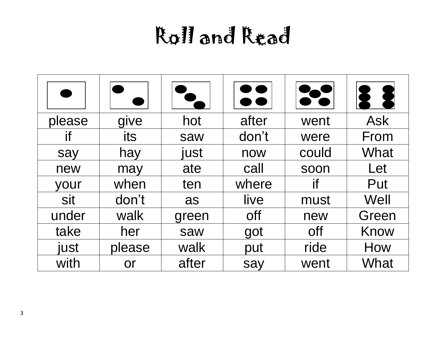| please | give      | hot   | after | went       | <b>Ask</b> |
|--------|-----------|-------|-------|------------|------------|
| if     | its       | saw   | don't | were       | From       |
| say    | hay       | just  | now   | could      | What       |
| new    | may       | ate   | call  | soon       | Let        |
| your   | when      | ten   | where | if         | Put        |
| sit    | don't     | as    | live  | must       | Well       |
| under  | walk      | green | off   | new        | Green      |
| take   | her       | saw   | got   | <b>off</b> | Know       |
| just   | please    | walk  | put   | ride       | How        |
| with   | <b>or</b> | after | say   | went       | What       |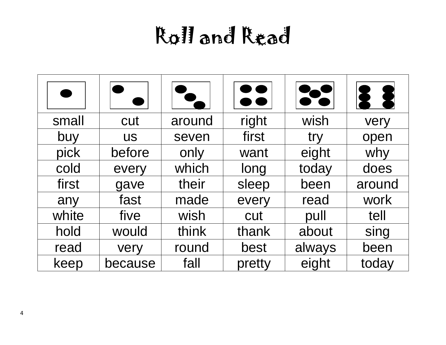|       |           |        | $\bullet$ $\bullet$ |        |        |
|-------|-----------|--------|---------------------|--------|--------|
| small | cut       | around | right               | wish   | very   |
| buy   | <b>US</b> | seven  | first               | try    | open   |
| pick  | before    | only   | want                | eight  | why    |
| cold  | every     | which  | long                | today  | does   |
| first | gave      | their  | sleep               | been   | around |
| any   | fast      | made   | every               | read   | work   |
| white | five      | wish   | cut                 | pull   | tell   |
| hold  | would     | think  | thank               | about  | sing   |
| read  | very      | round  | best                | always | been   |
| keep  | because   | fall   | pretty              | eight  | today  |